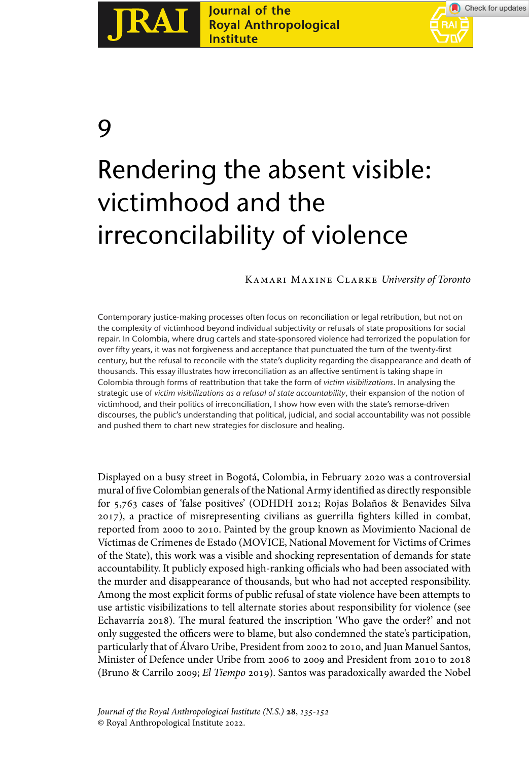

# Journal of the Royal Anthropological **Institute**



9

# Rendering the absent visible: victimhood and the irreconcilability of violence

# Kamari Maxine Clarke *University of Toronto*

Contemporary justice-making processes often focus on reconciliation or legal retribution, but not on the complexity of victimhood beyond individual subjectivity or refusals of state propositions for social repair. In Colombia, where drug cartels and state-sponsored violence had terrorized the population for over fifty years, it was not forgiveness and acceptance that punctuated the turn of the twenty-first century, but the refusal to reconcile with the state's duplicity regarding the disappearance and death of thousands. This essay illustrates how irreconciliation as an affective sentiment is taking shape in Colombia through forms of reattribution that take the form of *victim visibilizations*. In analysing the strategic use of *victim visibilizations as a refusal of state accountability*, their expansion of the notion of victimhood, and their politics of irreconciliation, I show how even with the state's remorse-driven discourses, the public's understanding that political, judicial, and social accountability was not possible and pushed them to chart new strategies for disclosure and healing.

Displayed on a busy street in Bogotá, Colombia, in February 2020 was a controversial mural of five Colombian generals of the National Army identified as directly responsible for 5,763 cases of 'false positives' (ODHDH 2012; Rojas Bolaños & Benavides Silva 2017), a practice of misrepresenting civilians as guerrilla fighters killed in combat, reported from 2000 to 2010. Painted by the group known as Movimiento Nacional de Víctimas de Crímenes de Estado (MOVICE, National Movement for Victims of Crimes of the State), this work was a visible and shocking representation of demands for state accountability. It publicly exposed high-ranking officials who had been associated with the murder and disappearance of thousands, but who had not accepted responsibility. Among the most explicit forms of public refusal of state violence have been attempts to use artistic visibilizations to tell alternate stories about responsibility for violence (see Echavarría 2018). The mural featured the inscription 'Who gave the order?' and not only suggested the officers were to blame, but also condemned the state's participation, particularly that of Álvaro Uribe, President from 2002 to 2010, and Juan Manuel Santos, Minister of Defence under Uribe from 2006 to 2009 and President from 2010 to 2018 (Bruno & Carrilo 2009; *El Tiempo* 2019). Santos was paradoxically awarded the Nobel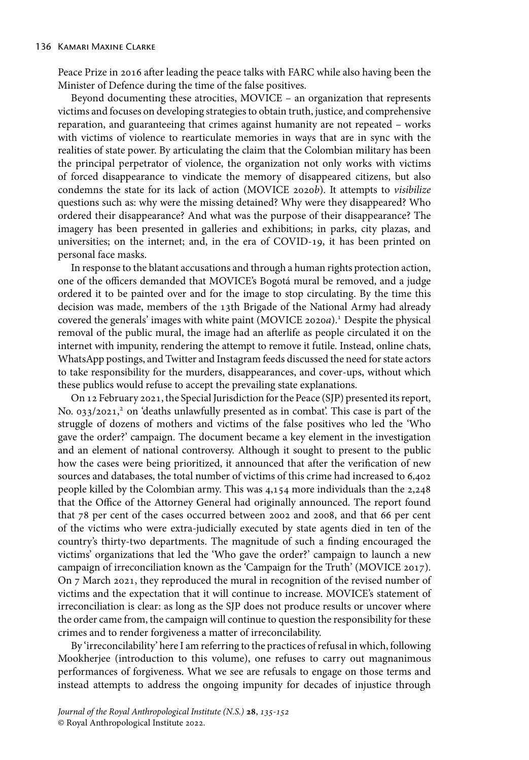Peace Prize in 2016 after leading the peace talks with FARC while also having been the Minister of Defence during the time of the false positives.

Beyond documenting these atrocities, MOVICE – an organization that represents victims and focuses on developing strategies to obtain truth, justice, and comprehensive reparation, and guaranteeing that crimes against humanity are not repeated – works with victims of violence to rearticulate memories in ways that are in sync with the realities of state power. By articulating the claim that the Colombian military has been the principal perpetrator of violence, the organization not only works with victims of forced disappearance to vindicate the memory of disappeared citizens, but also condemns the state for its lack of action (MOVICE 2020*b*). It attempts to *visibilize* questions such as: why were the missing detained? Why were they disappeared? Who ordered their disappearance? And what was the purpose of their disappearance? The imagery has been presented in galleries and exhibitions; in parks, city plazas, and universities; on the internet; and, in the era of COVID-19, it has been printed on personal face masks.

In response to the blatant accusations and through a human rights protection action, one of the officers demanded that MOVICE's Bogotá mural be removed, and a judge ordered it to be painted over and for the image to stop circulating. By the time this decision was made, members of the 13th Brigade of the National Army had already covered the generals' images with white paint (MOVICE 2020*a*).1 Despite the physical removal of the public mural, the image had an afterlife as people circulated it on the internet with impunity, rendering the attempt to remove it futile. Instead, online chats, WhatsApp postings, and Twitter and Instagram feeds discussed the need for state actors to take responsibility for the murders, disappearances, and cover-ups, without which these publics would refuse to accept the prevailing state explanations.

On 12 February 2021, the Special Jurisdiction for the Peace (SJP) presented its report, No. 033/2021,<sup>2</sup> on 'deaths unlawfully presented as in combat'. This case is part of the struggle of dozens of mothers and victims of the false positives who led the 'Who gave the order?' campaign. The document became a key element in the investigation and an element of national controversy. Although it sought to present to the public how the cases were being prioritized, it announced that after the verification of new sources and databases, the total number of victims of this crime had increased to 6,402 people killed by the Colombian army. This was 4,154 more individuals than the 2,248 that the Office of the Attorney General had originally announced. The report found that 78 per cent of the cases occurred between 2002 and 2008, and that 66 per cent of the victims who were extra-judicially executed by state agents died in ten of the country's thirty-two departments. The magnitude of such a finding encouraged the victims' organizations that led the 'Who gave the order?' campaign to launch a new campaign of irreconciliation known as the 'Campaign for the Truth' (MOVICE 2017). On 7 March 2021, they reproduced the mural in recognition of the revised number of victims and the expectation that it will continue to increase. MOVICE's statement of irreconciliation is clear: as long as the SJP does not produce results or uncover where the order came from, the campaign will continue to question the responsibility for these crimes and to render forgiveness a matter of irreconcilability.

By 'irreconcilability' here I am referring to the practices of refusal in which, following Mookherjee (introduction to this volume), one refuses to carry out magnanimous performances of forgiveness. What we see are refusals to engage on those terms and instead attempts to address the ongoing impunity for decades of injustice through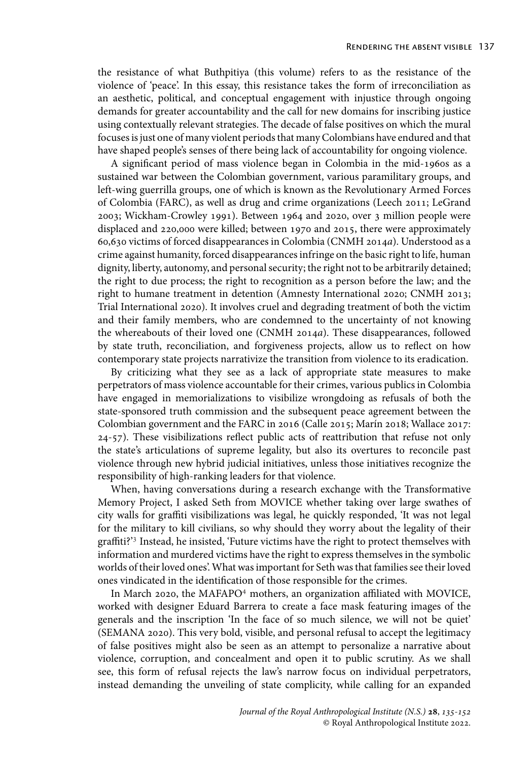the resistance of what Buthpitiya (this volume) refers to as the resistance of the violence of 'peace'. In this essay, this resistance takes the form of irreconciliation as an aesthetic, political, and conceptual engagement with injustice through ongoing demands for greater accountability and the call for new domains for inscribing justice using contextually relevant strategies. The decade of false positives on which the mural focuses is just one of many violent periods that many Colombians have endured and that have shaped people's senses of there being lack of accountability for ongoing violence.

A significant period of mass violence began in Colombia in the mid-1960s as a sustained war between the Colombian government, various paramilitary groups, and left-wing guerrilla groups, one of which is known as the Revolutionary Armed Forces of Colombia (FARC), as well as drug and crime organizations (Leech 2011; LeGrand 2003; Wickham-Crowley 1991). Between 1964 and 2020, over 3 million people were displaced and 220,000 were killed; between 1970 and 2015, there were approximately 60,630 victims of forced disappearances in Colombia (CNMH 2014*a*). Understood as a crime against humanity, forced disappearances infringe on the basic right to life, human dignity, liberty, autonomy, and personal security; the right not to be arbitrarily detained; the right to due process; the right to recognition as a person before the law; and the right to humane treatment in detention (Amnesty International 2020; CNMH 2013; Trial International 2020). It involves cruel and degrading treatment of both the victim and their family members, who are condemned to the uncertainty of not knowing the whereabouts of their loved one (CNMH 2014*a*). These disappearances, followed by state truth, reconciliation, and forgiveness projects, allow us to reflect on how contemporary state projects narrativize the transition from violence to its eradication.

By criticizing what they see as a lack of appropriate state measures to make perpetrators of mass violence accountable for their crimes, various publics in Colombia have engaged in memorializations to visibilize wrongdoing as refusals of both the state-sponsored truth commission and the subsequent peace agreement between the Colombian government and the FARC in 2016 (Calle 2015; Marín 2018; Wallace 2017: 24-57). These visibilizations reflect public acts of reattribution that refuse not only the state's articulations of supreme legality, but also its overtures to reconcile past violence through new hybrid judicial initiatives, unless those initiatives recognize the responsibility of high-ranking leaders for that violence.

When, having conversations during a research exchange with the Transformative Memory Project, I asked Seth from MOVICE whether taking over large swathes of city walls for graffiti visibilizations was legal, he quickly responded, 'It was not legal for the military to kill civilians, so why should they worry about the legality of their graffiti?'<sup>3</sup> Instead, he insisted, 'Future victims have the right to protect themselves with information and murdered victims have the right to express themselves in the symbolic worlds of their loved ones'. What was important for Seth was that families see their loved ones vindicated in the identification of those responsible for the crimes.

In March 2020, the MAFAPO<sup>4</sup> mothers, an organization affiliated with MOVICE, worked with designer Eduard Barrera to create a face mask featuring images of the generals and the inscription 'In the face of so much silence, we will not be quiet' (SEMANA 2020). This very bold, visible, and personal refusal to accept the legitimacy of false positives might also be seen as an attempt to personalize a narrative about violence, corruption, and concealment and open it to public scrutiny. As we shall see, this form of refusal rejects the law's narrow focus on individual perpetrators, instead demanding the unveiling of state complicity, while calling for an expanded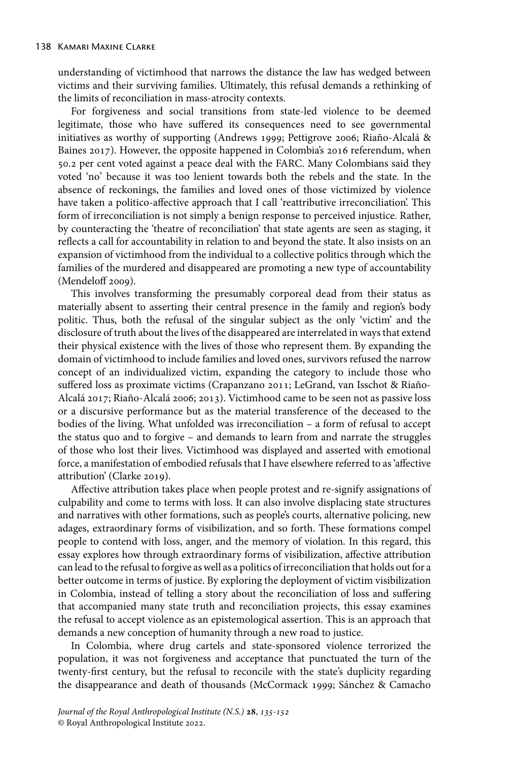understanding of victimhood that narrows the distance the law has wedged between victims and their surviving families. Ultimately, this refusal demands a rethinking of the limits of reconciliation in mass-atrocity contexts.

For forgiveness and social transitions from state-led violence to be deemed legitimate, those who have suffered its consequences need to see governmental initiatives as worthy of supporting (Andrews 1999; Pettigrove 2006; Riaño-Alcalá & Baines 2017). However, the opposite happened in Colombia's 2016 referendum, when 50.2 per cent voted against a peace deal with the FARC. Many Colombians said they voted 'no' because it was too lenient towards both the rebels and the state. In the absence of reckonings, the families and loved ones of those victimized by violence have taken a politico-affective approach that I call 'reattributive irreconciliation'. This form of irreconciliation is not simply a benign response to perceived injustice. Rather, by counteracting the 'theatre of reconciliation' that state agents are seen as staging, it reflects a call for accountability in relation to and beyond the state. It also insists on an expansion of victimhood from the individual to a collective politics through which the families of the murdered and disappeared are promoting a new type of accountability (Mendeloff 2009).

This involves transforming the presumably corporeal dead from their status as materially absent to asserting their central presence in the family and region's body politic. Thus, both the refusal of the singular subject as the only 'victim' and the disclosure of truth about the lives of the disappeared are interrelated in ways that extend their physical existence with the lives of those who represent them. By expanding the domain of victimhood to include families and loved ones, survivors refused the narrow concept of an individualized victim, expanding the category to include those who suffered loss as proximate victims (Crapanzano 2011; LeGrand, van Isschot & Riaño-Alcalá 2017; Riaño-Alcalá 2006; 2013). Victimhood came to be seen not as passive loss or a discursive performance but as the material transference of the deceased to the bodies of the living. What unfolded was irreconciliation – a form of refusal to accept the status quo and to forgive – and demands to learn from and narrate the struggles of those who lost their lives. Victimhood was displayed and asserted with emotional force, a manifestation of embodied refusals that I have elsewhere referred to as 'affective attribution' (Clarke 2019).

Affective attribution takes place when people protest and re-signify assignations of culpability and come to terms with loss. It can also involve displacing state structures and narratives with other formations, such as people's courts, alternative policing, new adages, extraordinary forms of visibilization, and so forth. These formations compel people to contend with loss, anger, and the memory of violation. In this regard, this essay explores how through extraordinary forms of visibilization, affective attribution can lead to the refusal to forgive as well as a politics of irreconciliation that holds out for a better outcome in terms of justice. By exploring the deployment of victim visibilization in Colombia, instead of telling a story about the reconciliation of loss and suffering that accompanied many state truth and reconciliation projects, this essay examines the refusal to accept violence as an epistemological assertion. This is an approach that demands a new conception of humanity through a new road to justice.

In Colombia, where drug cartels and state-sponsored violence terrorized the population, it was not forgiveness and acceptance that punctuated the turn of the twenty-first century, but the refusal to reconcile with the state's duplicity regarding the disappearance and death of thousands (McCormack 1999; Sánchez & Camacho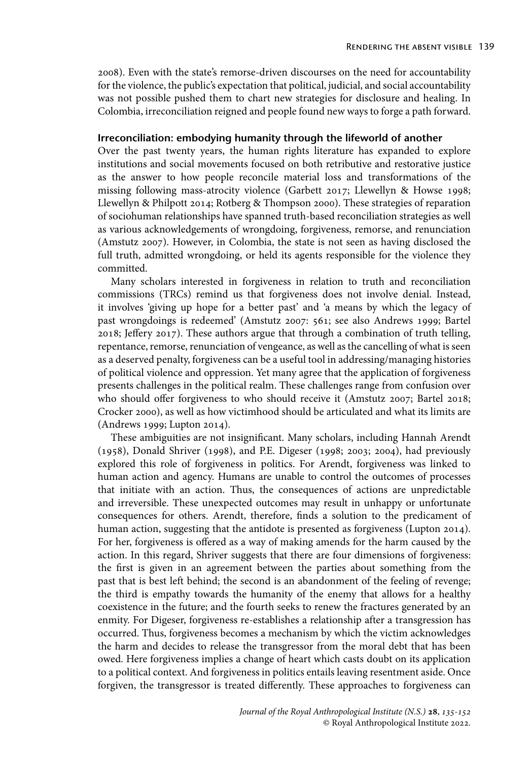2008). Even with the state's remorse-driven discourses on the need for accountability for the violence, the public's expectation that political, judicial, and social accountability was not possible pushed them to chart new strategies for disclosure and healing. In Colombia, irreconciliation reigned and people found new ways to forge a path forward.

# **Irreconciliation: embodying humanity through the lifeworld of another**

Over the past twenty years, the human rights literature has expanded to explore institutions and social movements focused on both retributive and restorative justice as the answer to how people reconcile material loss and transformations of the missing following mass-atrocity violence (Garbett 2017; Llewellyn & Howse 1998; Llewellyn & Philpott 2014; Rotberg & Thompson 2000). These strategies of reparation of sociohuman relationships have spanned truth-based reconciliation strategies as well as various acknowledgements of wrongdoing, forgiveness, remorse, and renunciation (Amstutz 2007). However, in Colombia, the state is not seen as having disclosed the full truth, admitted wrongdoing, or held its agents responsible for the violence they committed.

Many scholars interested in forgiveness in relation to truth and reconciliation commissions (TRCs) remind us that forgiveness does not involve denial. Instead, it involves 'giving up hope for a better past' and 'a means by which the legacy of past wrongdoings is redeemed' (Amstutz 2007: 561; see also Andrews 1999; Bartel 2018; Jeffery 2017). These authors argue that through a combination of truth telling, repentance, remorse, renunciation of vengeance, as well as the cancelling of what is seen as a deserved penalty, forgiveness can be a useful tool in addressing/managing histories of political violence and oppression. Yet many agree that the application of forgiveness presents challenges in the political realm. These challenges range from confusion over who should offer forgiveness to who should receive it (Amstutz 2007; Bartel 2018; Crocker 2000), as well as how victimhood should be articulated and what its limits are (Andrews 1999; Lupton 2014).

These ambiguities are not insignificant. Many scholars, including Hannah Arendt (1958), Donald Shriver (1998), and P.E. Digeser (1998; 2003; 2004), had previously explored this role of forgiveness in politics. For Arendt, forgiveness was linked to human action and agency. Humans are unable to control the outcomes of processes that initiate with an action. Thus, the consequences of actions are unpredictable and irreversible. These unexpected outcomes may result in unhappy or unfortunate consequences for others. Arendt, therefore, finds a solution to the predicament of human action, suggesting that the antidote is presented as forgiveness (Lupton 2014). For her, forgiveness is offered as a way of making amends for the harm caused by the action. In this regard, Shriver suggests that there are four dimensions of forgiveness: the first is given in an agreement between the parties about something from the past that is best left behind; the second is an abandonment of the feeling of revenge; the third is empathy towards the humanity of the enemy that allows for a healthy coexistence in the future; and the fourth seeks to renew the fractures generated by an enmity. For Digeser, forgiveness re-establishes a relationship after a transgression has occurred. Thus, forgiveness becomes a mechanism by which the victim acknowledges the harm and decides to release the transgressor from the moral debt that has been owed. Here forgiveness implies a change of heart which casts doubt on its application to a political context. And forgiveness in politics entails leaving resentment aside. Once forgiven, the transgressor is treated differently. These approaches to forgiveness can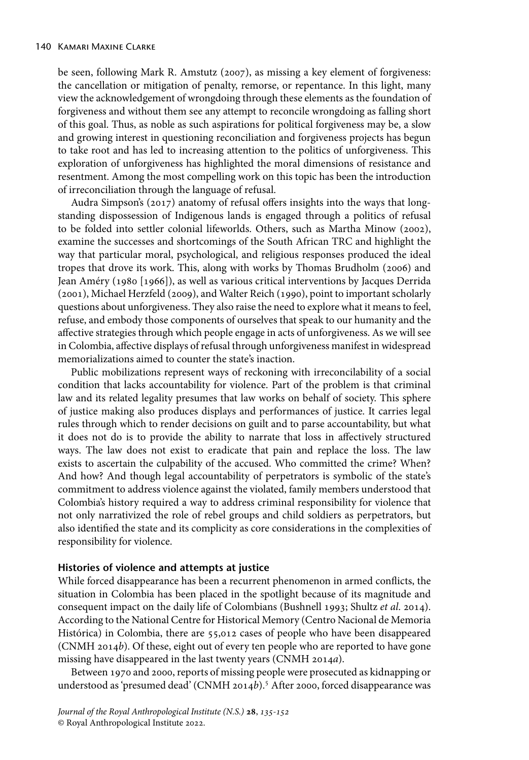be seen, following Mark R. Amstutz (2007), as missing a key element of forgiveness: the cancellation or mitigation of penalty, remorse, or repentance. In this light, many view the acknowledgement of wrongdoing through these elements as the foundation of forgiveness and without them see any attempt to reconcile wrongdoing as falling short of this goal. Thus, as noble as such aspirations for political forgiveness may be, a slow and growing interest in questioning reconciliation and forgiveness projects has begun to take root and has led to increasing attention to the politics of unforgiveness. This exploration of unforgiveness has highlighted the moral dimensions of resistance and resentment. Among the most compelling work on this topic has been the introduction of irreconciliation through the language of refusal.

Audra Simpson's (2017) anatomy of refusal offers insights into the ways that longstanding dispossession of Indigenous lands is engaged through a politics of refusal to be folded into settler colonial lifeworlds. Others, such as Martha Minow (2002), examine the successes and shortcomings of the South African TRC and highlight the way that particular moral, psychological, and religious responses produced the ideal tropes that drove its work. This, along with works by Thomas Brudholm (2006) and Jean Améry (1980 [1966]), as well as various critical interventions by Jacques Derrida (2001), Michael Herzfeld (2009), and Walter Reich (1990), point to important scholarly questions about unforgiveness. They also raise the need to explore what it means to feel, refuse, and embody those components of ourselves that speak to our humanity and the affective strategies through which people engage in acts of unforgiveness. As we will see in Colombia, affective displays of refusal through unforgiveness manifest in widespread memorializations aimed to counter the state's inaction.

Public mobilizations represent ways of reckoning with irreconcilability of a social condition that lacks accountability for violence. Part of the problem is that criminal law and its related legality presumes that law works on behalf of society. This sphere of justice making also produces displays and performances of justice. It carries legal rules through which to render decisions on guilt and to parse accountability, but what it does not do is to provide the ability to narrate that loss in affectively structured ways. The law does not exist to eradicate that pain and replace the loss. The law exists to ascertain the culpability of the accused. Who committed the crime? When? And how? And though legal accountability of perpetrators is symbolic of the state's commitment to address violence against the violated, family members understood that Colombia's history required a way to address criminal responsibility for violence that not only narrativized the role of rebel groups and child soldiers as perpetrators, but also identified the state and its complicity as core considerations in the complexities of responsibility for violence.

# **Histories of violence and attempts at justice**

While forced disappearance has been a recurrent phenomenon in armed conflicts, the situation in Colombia has been placed in the spotlight because of its magnitude and consequent impact on the daily life of Colombians (Bushnell 1993; Shultz *et al*. 2014). According to the National Centre for Historical Memory (Centro Nacional de Memoria Histórica) in Colombia, there are 55,012 cases of people who have been disappeared (CNMH 2014*b*). Of these, eight out of every ten people who are reported to have gone missing have disappeared in the last twenty years (CNMH 2014*a*).

Between 1970 and 2000, reports of missing people were prosecuted as kidnapping or understood as 'presumed dead' (CNMH 2014b).<sup>5</sup> After 2000, forced disappearance was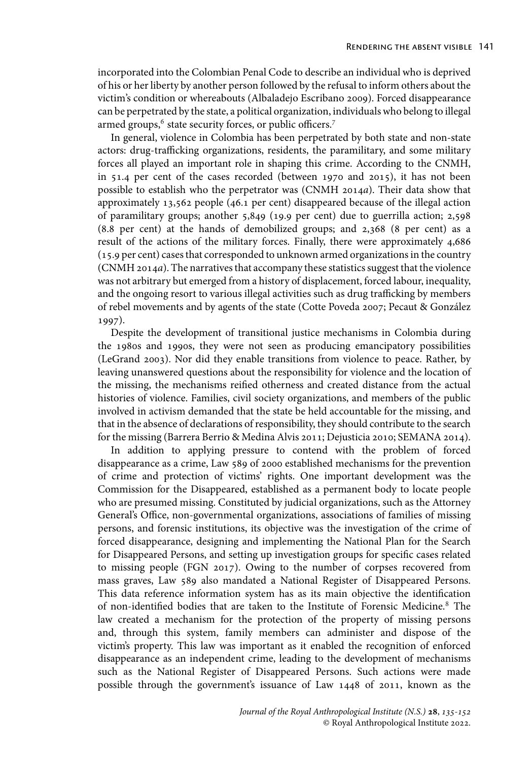incorporated into the Colombian Penal Code to describe an individual who is deprived of his or her liberty by another person followed by the refusal to inform others about the victim's condition or whereabouts (Albaladejo Escribano 2009). Forced disappearance can be perpetrated by the state, a political organization, individuals who belong to illegal armed groups,<sup>6</sup> state security forces, or public officers.<sup>7</sup>

In general, violence in Colombia has been perpetrated by both state and non-state actors: drug-trafficking organizations, residents, the paramilitary, and some military forces all played an important role in shaping this crime. According to the CNMH, in 51.4 per cent of the cases recorded (between 1970 and 2015), it has not been possible to establish who the perpetrator was (CNMH 2014*a*). Their data show that approximately 13,562 people (46.1 per cent) disappeared because of the illegal action of paramilitary groups; another 5,849 (19.9 per cent) due to guerrilla action; 2,598 (8.8 per cent) at the hands of demobilized groups; and 2,368 (8 per cent) as a result of the actions of the military forces. Finally, there were approximately 4,686 (15.9 per cent) cases that corresponded to unknown armed organizations in the country (CNMH 2014*a*). The narratives that accompany these statistics suggest that the violence was not arbitrary but emerged from a history of displacement, forced labour, inequality, and the ongoing resort to various illegal activities such as drug trafficking by members of rebel movements and by agents of the state (Cotte Poveda 2007; Pecaut & González 1997).

Despite the development of transitional justice mechanisms in Colombia during the 1980s and 1990s, they were not seen as producing emancipatory possibilities (LeGrand 2003). Nor did they enable transitions from violence to peace. Rather, by leaving unanswered questions about the responsibility for violence and the location of the missing, the mechanisms reified otherness and created distance from the actual histories of violence. Families, civil society organizations, and members of the public involved in activism demanded that the state be held accountable for the missing, and that in the absence of declarations of responsibility, they should contribute to the search for the missing (Barrera Berrio & Medina Alvis 2011; Dejusticia 2010; SEMANA 2014).

In addition to applying pressure to contend with the problem of forced disappearance as a crime, Law 589 of 2000 established mechanisms for the prevention of crime and protection of victims' rights. One important development was the Commission for the Disappeared, established as a permanent body to locate people who are presumed missing. Constituted by judicial organizations, such as the Attorney General's Office, non-governmental organizations, associations of families of missing persons, and forensic institutions, its objective was the investigation of the crime of forced disappearance, designing and implementing the National Plan for the Search for Disappeared Persons, and setting up investigation groups for specific cases related to missing people (FGN 2017). Owing to the number of corpses recovered from mass graves, Law 589 also mandated a National Register of Disappeared Persons. This data reference information system has as its main objective the identification of non-identified bodies that are taken to the Institute of Forensic Medicine.<sup>8</sup> The law created a mechanism for the protection of the property of missing persons and, through this system, family members can administer and dispose of the victim's property. This law was important as it enabled the recognition of enforced disappearance as an independent crime, leading to the development of mechanisms such as the National Register of Disappeared Persons. Such actions were made possible through the government's issuance of Law 1448 of 2011, known as the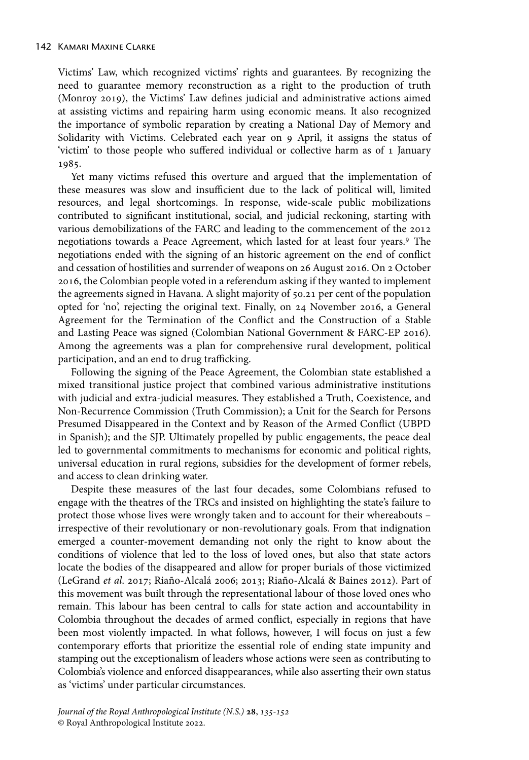Victims' Law, which recognized victims' rights and guarantees. By recognizing the need to guarantee memory reconstruction as a right to the production of truth (Monroy 2019), the Victims' Law defines judicial and administrative actions aimed at assisting victims and repairing harm using economic means. It also recognized the importance of symbolic reparation by creating a National Day of Memory and Solidarity with Victims. Celebrated each year on 9 April, it assigns the status of 'victim' to those people who suffered individual or collective harm as of 1 January 1985.

Yet many victims refused this overture and argued that the implementation of these measures was slow and insufficient due to the lack of political will, limited resources, and legal shortcomings. In response, wide-scale public mobilizations contributed to significant institutional, social, and judicial reckoning, starting with various demobilizations of the FARC and leading to the commencement of the 2012 negotiations towards a Peace Agreement, which lasted for at least four years.<sup>9</sup> The negotiations ended with the signing of an historic agreement on the end of conflict and cessation of hostilities and surrender of weapons on 26 August 2016. On 2 October 2016, the Colombian people voted in a referendum asking if they wanted to implement the agreements signed in Havana. A slight majority of 50.21 per cent of the population opted for 'no', rejecting the original text. Finally, on 24 November 2016, a General Agreement for the Termination of the Conflict and the Construction of a Stable and Lasting Peace was signed (Colombian National Government & FARC-EP 2016). Among the agreements was a plan for comprehensive rural development, political participation, and an end to drug trafficking.

Following the signing of the Peace Agreement, the Colombian state established a mixed transitional justice project that combined various administrative institutions with judicial and extra-judicial measures. They established a Truth, Coexistence, and Non-Recurrence Commission (Truth Commission); a Unit for the Search for Persons Presumed Disappeared in the Context and by Reason of the Armed Conflict (UBPD in Spanish); and the SJP. Ultimately propelled by public engagements, the peace deal led to governmental commitments to mechanisms for economic and political rights, universal education in rural regions, subsidies for the development of former rebels, and access to clean drinking water.

Despite these measures of the last four decades, some Colombians refused to engage with the theatres of the TRCs and insisted on highlighting the state's failure to protect those whose lives were wrongly taken and to account for their whereabouts – irrespective of their revolutionary or non-revolutionary goals. From that indignation emerged a counter-movement demanding not only the right to know about the conditions of violence that led to the loss of loved ones, but also that state actors locate the bodies of the disappeared and allow for proper burials of those victimized (LeGrand *et al*. 2017; Riaño-Alcalá 2006; 2013; Riaño-Alcalá & Baines 2012). Part of this movement was built through the representational labour of those loved ones who remain. This labour has been central to calls for state action and accountability in Colombia throughout the decades of armed conflict, especially in regions that have been most violently impacted. In what follows, however, I will focus on just a few contemporary efforts that prioritize the essential role of ending state impunity and stamping out the exceptionalism of leaders whose actions were seen as contributing to Colombia's violence and enforced disappearances, while also asserting their own status as 'victims' under particular circumstances.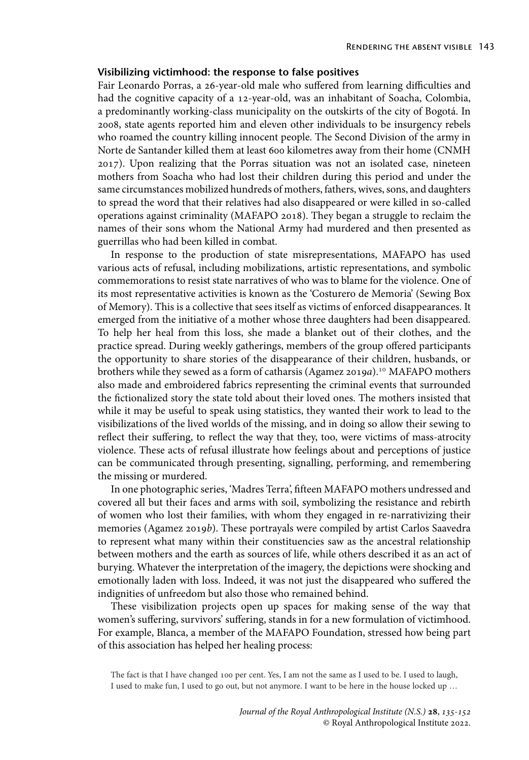# **Visibilizing victimhood: the response to false positives**

Fair Leonardo Porras, a 26-year-old male who suffered from learning difficulties and had the cognitive capacity of a 12-year-old, was an inhabitant of Soacha, Colombia, a predominantly working-class municipality on the outskirts of the city of Bogotá. In 2008, state agents reported him and eleven other individuals to be insurgency rebels who roamed the country killing innocent people. The Second Division of the army in Norte de Santander killed them at least 600 kilometres away from their home (CNMH 2017). Upon realizing that the Porras situation was not an isolated case, nineteen mothers from Soacha who had lost their children during this period and under the same circumstances mobilized hundreds of mothers, fathers, wives, sons, and daughters to spread the word that their relatives had also disappeared or were killed in so-called operations against criminality (MAFAPO 2018). They began a struggle to reclaim the names of their sons whom the National Army had murdered and then presented as guerrillas who had been killed in combat.

In response to the production of state misrepresentations, MAFAPO has used various acts of refusal, including mobilizations, artistic representations, and symbolic commemorations to resist state narratives of who was to blame for the violence. One of its most representative activities is known as the 'Costurero de Memoria' (Sewing Box of Memory). This is a collective that sees itself as victims of enforced disappearances. It emerged from the initiative of a mother whose three daughters had been disappeared. To help her heal from this loss, she made a blanket out of their clothes, and the practice spread. During weekly gatherings, members of the group offered participants the opportunity to share stories of the disappearance of their children, husbands, or brothers while they sewed as a form of catharsis (Agamez 2019*a*).10 MAFAPO mothers also made and embroidered fabrics representing the criminal events that surrounded the fictionalized story the state told about their loved ones. The mothers insisted that while it may be useful to speak using statistics, they wanted their work to lead to the visibilizations of the lived worlds of the missing, and in doing so allow their sewing to reflect their suffering, to reflect the way that they, too, were victims of mass-atrocity violence. These acts of refusal illustrate how feelings about and perceptions of justice can be communicated through presenting, signalling, performing, and remembering the missing or murdered.

In one photographic series, 'Madres Terra', fifteen MAFAPO mothers undressed and covered all but their faces and arms with soil, symbolizing the resistance and rebirth of women who lost their families, with whom they engaged in re-narrativizing their memories (Agamez 2019*b*). These portrayals were compiled by artist Carlos Saavedra to represent what many within their constituencies saw as the ancestral relationship between mothers and the earth as sources of life, while others described it as an act of burying. Whatever the interpretation of the imagery, the depictions were shocking and emotionally laden with loss. Indeed, it was not just the disappeared who suffered the indignities of unfreedom but also those who remained behind.

These visibilization projects open up spaces for making sense of the way that women's suffering, survivors' suffering, stands in for a new formulation of victimhood. For example, Blanca, a member of the MAFAPO Foundation, stressed how being part of this association has helped her healing process:

The fact is that I have changed 100 per cent. Yes, I am not the same as I used to be. I used to laugh, I used to make fun, I used to go out, but not anymore. I want to be here in the house locked up …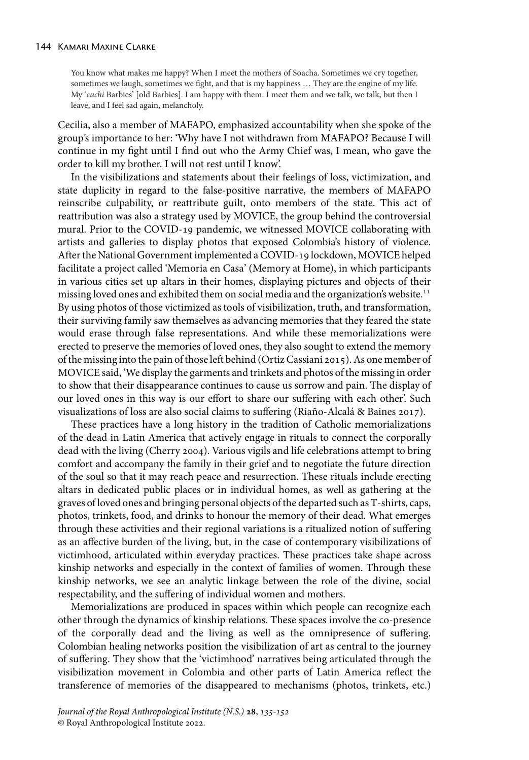You know what makes me happy? When I meet the mothers of Soacha. Sometimes we cry together, sometimes we laugh, sometimes we fight, and that is my happiness … They are the engine of my life. My '*cuchi* Barbies' [old Barbies]. I am happy with them. I meet them and we talk, we talk, but then I leave, and I feel sad again, melancholy.

Cecilia, also a member of MAFAPO, emphasized accountability when she spoke of the group's importance to her: 'Why have I not withdrawn from MAFAPO? Because I will continue in my fight until I find out who the Army Chief was, I mean, who gave the order to kill my brother. I will not rest until I know'.

In the visibilizations and statements about their feelings of loss, victimization, and state duplicity in regard to the false-positive narrative, the members of MAFAPO reinscribe culpability, or reattribute guilt, onto members of the state. This act of reattribution was also a strategy used by MOVICE, the group behind the controversial mural. Prior to the COVID-19 pandemic, we witnessed MOVICE collaborating with artists and galleries to display photos that exposed Colombia's history of violence. After the National Government implemented a COVID-19 lockdown, MOVICE helped facilitate a project called 'Memoria en Casa' (Memory at Home), in which participants in various cities set up altars in their homes, displaying pictures and objects of their missing loved ones and exhibited them on social media and the organization's website.<sup>11</sup> By using photos of those victimized as tools of visibilization, truth, and transformation, their surviving family saw themselves as advancing memories that they feared the state would erase through false representations. And while these memorializations were erected to preserve the memories of loved ones, they also sought to extend the memory of the missing into the pain of those left behind (Ortiz Cassiani 2015). As one member of MOVICE said, 'We display the garments and trinkets and photos of the missing in order to show that their disappearance continues to cause us sorrow and pain. The display of our loved ones in this way is our effort to share our suffering with each other'. Such visualizations of loss are also social claims to suffering (Riaño-Alcalá & Baines 2017).

These practices have a long history in the tradition of Catholic memorializations of the dead in Latin America that actively engage in rituals to connect the corporally dead with the living (Cherry 2004). Various vigils and life celebrations attempt to bring comfort and accompany the family in their grief and to negotiate the future direction of the soul so that it may reach peace and resurrection. These rituals include erecting altars in dedicated public places or in individual homes, as well as gathering at the graves of loved ones and bringing personal objects of the departed such as T-shirts, caps, photos, trinkets, food, and drinks to honour the memory of their dead. What emerges through these activities and their regional variations is a ritualized notion of suffering as an affective burden of the living, but, in the case of contemporary visibilizations of victimhood, articulated within everyday practices. These practices take shape across kinship networks and especially in the context of families of women. Through these kinship networks, we see an analytic linkage between the role of the divine, social respectability, and the suffering of individual women and mothers.

Memorializations are produced in spaces within which people can recognize each other through the dynamics of kinship relations. These spaces involve the co-presence of the corporally dead and the living as well as the omnipresence of suffering. Colombian healing networks position the visibilization of art as central to the journey of suffering. They show that the 'victimhood' narratives being articulated through the visibilization movement in Colombia and other parts of Latin America reflect the transference of memories of the disappeared to mechanisms (photos, trinkets, etc.)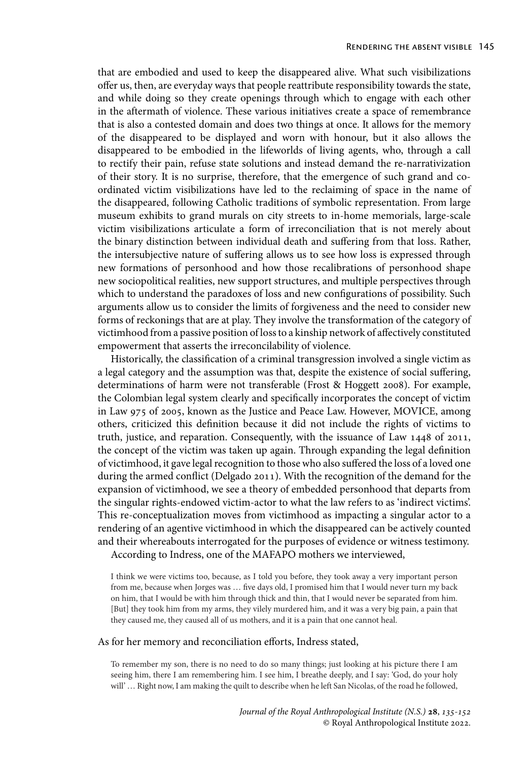that are embodied and used to keep the disappeared alive. What such visibilizations offer us, then, are everyday ways that people reattribute responsibility towards the state, and while doing so they create openings through which to engage with each other in the aftermath of violence. These various initiatives create a space of remembrance that is also a contested domain and does two things at once. It allows for the memory of the disappeared to be displayed and worn with honour, but it also allows the disappeared to be embodied in the lifeworlds of living agents, who, through a call to rectify their pain, refuse state solutions and instead demand the re-narrativization of their story. It is no surprise, therefore, that the emergence of such grand and coordinated victim visibilizations have led to the reclaiming of space in the name of the disappeared, following Catholic traditions of symbolic representation. From large museum exhibits to grand murals on city streets to in-home memorials, large-scale victim visibilizations articulate a form of irreconciliation that is not merely about the binary distinction between individual death and suffering from that loss. Rather, the intersubjective nature of suffering allows us to see how loss is expressed through new formations of personhood and how those recalibrations of personhood shape new sociopolitical realities, new support structures, and multiple perspectives through which to understand the paradoxes of loss and new configurations of possibility. Such arguments allow us to consider the limits of forgiveness and the need to consider new forms of reckonings that are at play. They involve the transformation of the category of victimhood from a passive position of loss to a kinship network of affectively constituted empowerment that asserts the irreconcilability of violence.

Historically, the classification of a criminal transgression involved a single victim as a legal category and the assumption was that, despite the existence of social suffering, determinations of harm were not transferable (Frost & Hoggett 2008). For example, the Colombian legal system clearly and specifically incorporates the concept of victim in Law 975 of 2005, known as the Justice and Peace Law. However, MOVICE, among others, criticized this definition because it did not include the rights of victims to truth, justice, and reparation. Consequently, with the issuance of Law 1448 of 2011, the concept of the victim was taken up again. Through expanding the legal definition of victimhood, it gave legal recognition to those who also suffered the loss of a loved one during the armed conflict (Delgado 2011). With the recognition of the demand for the expansion of victimhood, we see a theory of embedded personhood that departs from the singular rights-endowed victim-actor to what the law refers to as 'indirect victims'. This re-conceptualization moves from victimhood as impacting a singular actor to a rendering of an agentive victimhood in which the disappeared can be actively counted and their whereabouts interrogated for the purposes of evidence or witness testimony. According to Indress, one of the MAFAPO mothers we interviewed,

I think we were victims too, because, as I told you before, they took away a very important person from me, because when Jorges was … five days old, I promised him that I would never turn my back on him, that I would be with him through thick and thin, that I would never be separated from him. [But] they took him from my arms, they vilely murdered him, and it was a very big pain, a pain that they caused me, they caused all of us mothers, and it is a pain that one cannot heal.

#### As for her memory and reconciliation efforts, Indress stated,

To remember my son, there is no need to do so many things; just looking at his picture there I am seeing him, there I am remembering him. I see him, I breathe deeply, and I say: 'God, do your holy will' … Right now, I am making the quilt to describe when he left San Nicolas, of the road he followed,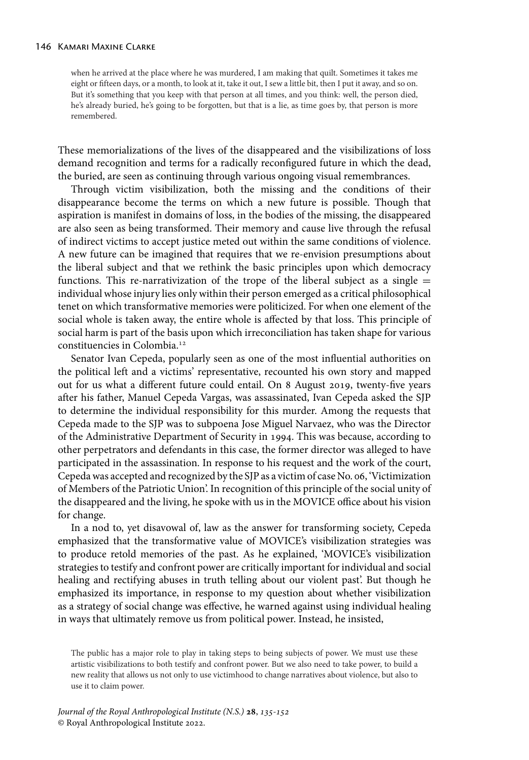when he arrived at the place where he was murdered, I am making that quilt. Sometimes it takes me eight or fifteen days, or a month, to look at it, take it out, I sew a little bit, then I put it away, and so on. But it's something that you keep with that person at all times, and you think: well, the person died, he's already buried, he's going to be forgotten, but that is a lie, as time goes by, that person is more remembered.

These memorializations of the lives of the disappeared and the visibilizations of loss demand recognition and terms for a radically reconfigured future in which the dead, the buried, are seen as continuing through various ongoing visual remembrances.

Through victim visibilization, both the missing and the conditions of their disappearance become the terms on which a new future is possible. Though that aspiration is manifest in domains of loss, in the bodies of the missing, the disappeared are also seen as being transformed. Their memory and cause live through the refusal of indirect victims to accept justice meted out within the same conditions of violence. A new future can be imagined that requires that we re-envision presumptions about the liberal subject and that we rethink the basic principles upon which democracy functions. This re-narrativization of the trope of the liberal subject as a single  $=$ individual whose injury lies only within their person emerged as a critical philosophical tenet on which transformative memories were politicized. For when one element of the social whole is taken away, the entire whole is affected by that loss. This principle of social harm is part of the basis upon which irreconciliation has taken shape for various constituencies in Colombia.12

Senator Ivan Cepeda, popularly seen as one of the most influential authorities on the political left and a victims' representative, recounted his own story and mapped out for us what a different future could entail. On 8 August 2019, twenty-five years after his father, Manuel Cepeda Vargas, was assassinated, Ivan Cepeda asked the SJP to determine the individual responsibility for this murder. Among the requests that Cepeda made to the SJP was to subpoena Jose Miguel Narvaez, who was the Director of the Administrative Department of Security in 1994. This was because, according to other perpetrators and defendants in this case, the former director was alleged to have participated in the assassination. In response to his request and the work of the court, Cepeda was accepted and recognized by the SJP as a victim of case No. 06, 'Victimization of Members of the Patriotic Union'. In recognition of this principle of the social unity of the disappeared and the living, he spoke with us in the MOVICE office about his vision for change.

In a nod to, yet disavowal of, law as the answer for transforming society, Cepeda emphasized that the transformative value of MOVICE's visibilization strategies was to produce retold memories of the past. As he explained, 'MOVICE's visibilization strategies to testify and confront power are critically important for individual and social healing and rectifying abuses in truth telling about our violent past'. But though he emphasized its importance, in response to my question about whether visibilization as a strategy of social change was effective, he warned against using individual healing in ways that ultimately remove us from political power. Instead, he insisted,

The public has a major role to play in taking steps to being subjects of power. We must use these artistic visibilizations to both testify and confront power. But we also need to take power, to build a new reality that allows us not only to use victimhood to change narratives about violence, but also to use it to claim power.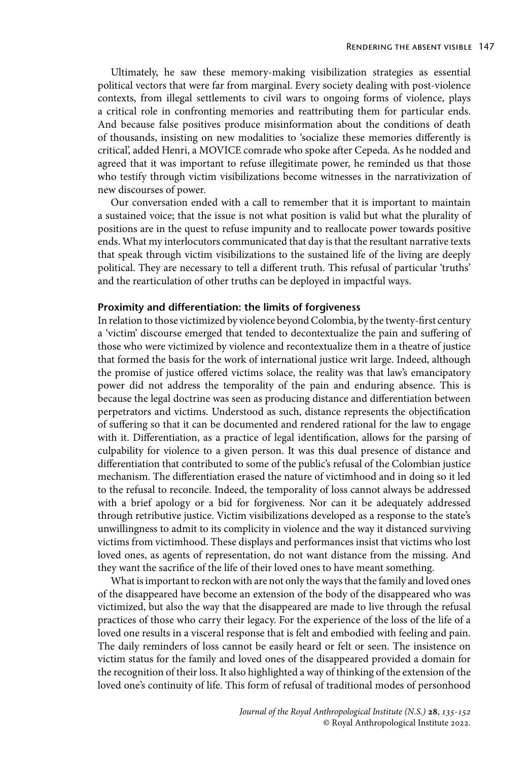Ultimately, he saw these memory-making visibilization strategies as essential political vectors that were far from marginal. Every society dealing with post-violence contexts, from illegal settlements to civil wars to ongoing forms of violence, plays a critical role in confronting memories and reattributing them for particular ends. And because false positives produce misinformation about the conditions of death of thousands, insisting on new modalities to 'socialize these memories differently is critical', added Henri, a MOVICE comrade who spoke after Cepeda. As he nodded and agreed that it was important to refuse illegitimate power, he reminded us that those who testify through victim visibilizations become witnesses in the narrativization of new discourses of power.

Our conversation ended with a call to remember that it is important to maintain a sustained voice; that the issue is not what position is valid but what the plurality of positions are in the quest to refuse impunity and to reallocate power towards positive ends. What my interlocutors communicated that day is that the resultant narrative texts that speak through victim visibilizations to the sustained life of the living are deeply political. They are necessary to tell a different truth. This refusal of particular 'truths' and the rearticulation of other truths can be deployed in impactful ways.

## **Proximity and differentiation: the limits of forgiveness**

In relation to those victimized by violence beyond Colombia, by the twenty-first century a 'victim' discourse emerged that tended to decontextualize the pain and suffering of those who were victimized by violence and recontextualize them in a theatre of justice that formed the basis for the work of international justice writ large. Indeed, although the promise of justice offered victims solace, the reality was that law's emancipatory power did not address the temporality of the pain and enduring absence. This is because the legal doctrine was seen as producing distance and differentiation between perpetrators and victims. Understood as such, distance represents the objectification of suffering so that it can be documented and rendered rational for the law to engage with it. Differentiation, as a practice of legal identification, allows for the parsing of culpability for violence to a given person. It was this dual presence of distance and differentiation that contributed to some of the public's refusal of the Colombian justice mechanism. The differentiation erased the nature of victimhood and in doing so it led to the refusal to reconcile. Indeed, the temporality of loss cannot always be addressed with a brief apology or a bid for forgiveness. Nor can it be adequately addressed through retributive justice. Victim visibilizations developed as a response to the state's unwillingness to admit to its complicity in violence and the way it distanced surviving victims from victimhood. These displays and performances insist that victims who lost loved ones, as agents of representation, do not want distance from the missing. And they want the sacrifice of the life of their loved ones to have meant something.

What is important to reckon with are not only the ways that the family and loved ones of the disappeared have become an extension of the body of the disappeared who was victimized, but also the way that the disappeared are made to live through the refusal practices of those who carry their legacy. For the experience of the loss of the life of a loved one results in a visceral response that is felt and embodied with feeling and pain. The daily reminders of loss cannot be easily heard or felt or seen. The insistence on victim status for the family and loved ones of the disappeared provided a domain for the recognition of their loss. It also highlighted a way of thinking of the extension of the loved one's continuity of life. This form of refusal of traditional modes of personhood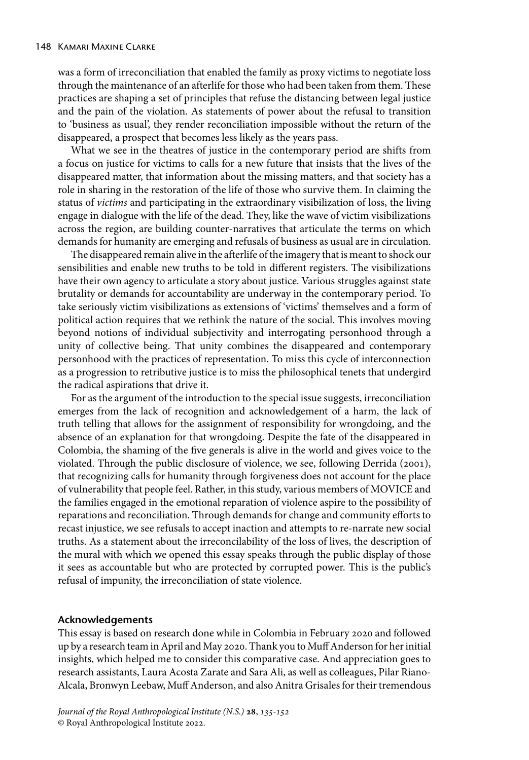was a form of irreconciliation that enabled the family as proxy victims to negotiate loss through the maintenance of an afterlife for those who had been taken from them. These practices are shaping a set of principles that refuse the distancing between legal justice and the pain of the violation. As statements of power about the refusal to transition to 'business as usual', they render reconciliation impossible without the return of the disappeared, a prospect that becomes less likely as the years pass.

What we see in the theatres of justice in the contemporary period are shifts from a focus on justice for victims to calls for a new future that insists that the lives of the disappeared matter, that information about the missing matters, and that society has a role in sharing in the restoration of the life of those who survive them. In claiming the status of *victims* and participating in the extraordinary visibilization of loss, the living engage in dialogue with the life of the dead. They, like the wave of victim visibilizations across the region, are building counter-narratives that articulate the terms on which demands for humanity are emerging and refusals of business as usual are in circulation.

The disappeared remain alive in the afterlife of the imagery that is meant to shock our sensibilities and enable new truths to be told in different registers. The visibilizations have their own agency to articulate a story about justice. Various struggles against state brutality or demands for accountability are underway in the contemporary period. To take seriously victim visibilizations as extensions of 'victims' themselves and a form of political action requires that we rethink the nature of the social. This involves moving beyond notions of individual subjectivity and interrogating personhood through a unity of collective being. That unity combines the disappeared and contemporary personhood with the practices of representation. To miss this cycle of interconnection as a progression to retributive justice is to miss the philosophical tenets that undergird the radical aspirations that drive it.

For as the argument of the introduction to the special issue suggests, irreconciliation emerges from the lack of recognition and acknowledgement of a harm, the lack of truth telling that allows for the assignment of responsibility for wrongdoing, and the absence of an explanation for that wrongdoing. Despite the fate of the disappeared in Colombia, the shaming of the five generals is alive in the world and gives voice to the violated. Through the public disclosure of violence, we see, following Derrida (2001), that recognizing calls for humanity through forgiveness does not account for the place of vulnerability that people feel. Rather, in this study, various members of MOVICE and the families engaged in the emotional reparation of violence aspire to the possibility of reparations and reconciliation. Through demands for change and community efforts to recast injustice, we see refusals to accept inaction and attempts to re-narrate new social truths. As a statement about the irreconcilability of the loss of lives, the description of the mural with which we opened this essay speaks through the public display of those it sees as accountable but who are protected by corrupted power. This is the public's refusal of impunity, the irreconciliation of state violence.

#### **Acknowledgements**

This essay is based on research done while in Colombia in February 2020 and followed up by a research team in April and May 2020. Thank you to Muff Anderson for her initial insights, which helped me to consider this comparative case. And appreciation goes to research assistants, Laura Acosta Zarate and Sara Ali, as well as colleagues, Pilar Riano-Alcala, Bronwyn Leebaw, Muff Anderson, and also Anitra Grisales for their tremendous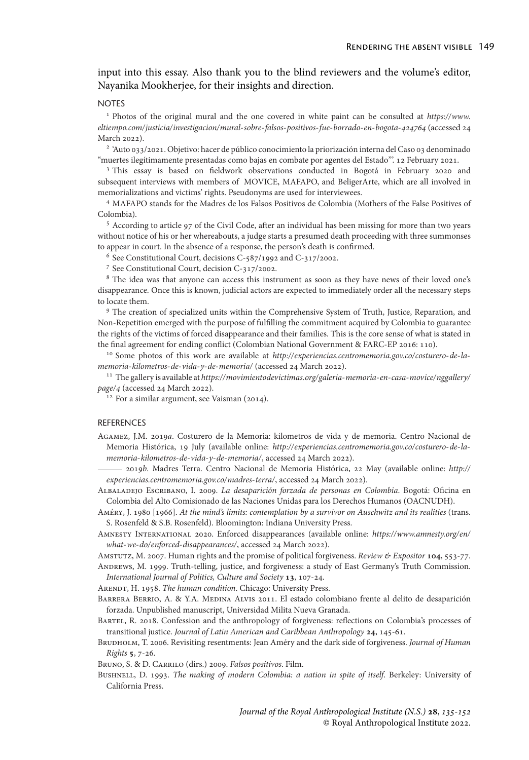# input into this essay. Also thank you to the blind reviewers and the volume's editor, Nayanika Mookherjee, for their insights and direction.

#### NOTES

<sup>1</sup> Photos of the original mural and the one covered in white paint can be consulted at *[https://www.](https://www.eltiempo.com/justicia/investigacion/mural-sobre-falsos-positivos-fue-borrado-en-bogota-424764) [eltiempo.com/justicia/investigacion/mural-sobre-falsos-positivos-fue-borrado-en-bogota-](https://www.eltiempo.com/justicia/investigacion/mural-sobre-falsos-positivos-fue-borrado-en-bogota-424764)* (accessed 24 March 2022).

<sup>2</sup> 'Auto 033/2021. Objetivo: hacer de público conocimiento la priorización interna del Caso 03 denominado "muertes ilegítimamente presentadas como bajas en combate por agentes del Estado"'. 12 February 2021.

<sup>3</sup> This essay is based on fieldwork observations conducted in Bogotá in February 2020 and subsequent interviews with members of MOVICE, MAFAPO, and BeligerArte, which are all involved in memorializations and victims' rights. Pseudonyms are used for interviewees.

<sup>4</sup> MAFAPO stands for the Madres de los Falsos Positivos de Colombia (Mothers of the False Positives of Colombia).

<sup>5</sup> According to article 97 of the Civil Code, after an individual has been missing for more than two years without notice of his or her whereabouts, a judge starts a presumed death proceeding with three summonses to appear in court. In the absence of a response, the person's death is confirmed.

<sup>6</sup> See Constitutional Court, decisions C-587/1992 and C-317/2002.

<sup>7</sup> See Constitutional Court, decision C-317/2002.

<sup>8</sup> The idea was that anyone can access this instrument as soon as they have news of their loved one's disappearance. Once this is known, judicial actors are expected to immediately order all the necessary steps to locate them.

<sup>9</sup> The creation of specialized units within the Comprehensive System of Truth, Justice, Reparation, and Non-Repetition emerged with the purpose of fulfilling the commitment acquired by Colombia to guarantee the rights of the victims of forced disappearance and their families. This is the core sense of what is stated in the final agreement for ending conflict (Colombian National Government & FARC-EP 2016: 110).

<sup>10</sup> Some photos of this work are available at *[http://experiencias.centromemoria.gov.co/costurero-de-la](http://experiencias.centromemoria.gov.co/costurero-de-la-memoria-kilometros-de-vida-y-de-memoria/)[memoria-kilometros-de-vida-y-de-memoria/](http://experiencias.centromemoria.gov.co/costurero-de-la-memoria-kilometros-de-vida-y-de-memoria/)* (accessed 24 March 2022).

<sup>11</sup> The gallery is available at *[https://movimientodevictimas.org/galeria-memoria-en-casa-movice/nggallery/](https://movimientodevictimas.org/galeria-memoria-en-casa-movice/nggallery/page/4) [page/](https://movimientodevictimas.org/galeria-memoria-en-casa-movice/nggallery/page/4)* (accessed 24 March 2022).

<sup>12</sup> For a similar argument, see Vaisman (2014).

#### REFERENCES

- Agamez, J.M. 2019*a*. Costurero de la Memoria: kilometros de vida y de memoria. Centro Nacional de Memoria Histórica, 19 July (available online: *[http://experiencias.centromemoria.gov.co/costurero-de-la](http://experiencias.centromemoria.gov.co/costurero-de-la-memoria-kilometros-de-vida-y-de-memoria/)[memoria-kilometros-de-vida-y-de-memoria/](http://experiencias.centromemoria.gov.co/costurero-de-la-memoria-kilometros-de-vida-y-de-memoria/)*, accessed 24 March 2022).
- 2019*b*. Madres Terra. Centro Nacional de Memoria Histórica, 22 May (available online: *[http://](http://experiencias.centromemoria.gov.co/madres-terra/) [experiencias.centromemoria.gov.co/madres-terra/](http://experiencias.centromemoria.gov.co/madres-terra/)*, accessed 24 March 2022).
- Albaladejo Escribano, I. 2009. *La desaparición forzada de personas en Colombia*. Bogotá: Oficina en Colombia del Alto Comisionado de las Naciones Unidas para los Derechos Humanos (OACNUDH).
- Améry, J. 1980 [1966]. *At the mind's limits: contemplation by a survivor on Auschwitz and its realities* (trans. S. Rosenfeld & S.B. Rosenfeld). Bloomington: Indiana University Press.
- Amnesty International 2020. Enforced disappearances (available online: *[https://www.amnesty.org/en/](https://www.amnesty.org/en/what-we-do/enforced-disappearances/) [what-we-do/enforced-disappearances/](https://www.amnesty.org/en/what-we-do/enforced-disappearances/)*, accessed 24 March 2022).
- Amstutz, M. 2007. Human rights and the promise of political forgiveness. *Review & Expositor* 104, 553-77.
- Andrews, M. 1999. Truth-telling, justice, and forgiveness: a study of East Germany's Truth Commission. *International Journal of Politics, Culture and Society* 13, 107-24.

ARENDT, H. 1958. *The human condition*. Chicago: University Press.

- Barrera Berrio, A. & Y.A. Medina Alvis 2011. El estado colombiano frente al delito de desaparición forzada. Unpublished manuscript, Universidad Milita Nueva Granada.
- Bartel, R. 2018. Confession and the anthropology of forgiveness: reflections on Colombia's processes of transitional justice. *Journal of Latin American and Caribbean Anthropology* 24, 145-61.
- Brudholm, T. 2006. Revisiting resentments: Jean Améry and the dark side of forgiveness. *Journal of Human Rights* , 7-26.
- Bruno, S. & D. Carrilo (dirs.) 2009. *Falsos positivos*. Film.
- Bushnell, D. 1993. *The making of modern Colombia: a nation in spite of itself*. Berkeley: University of California Press.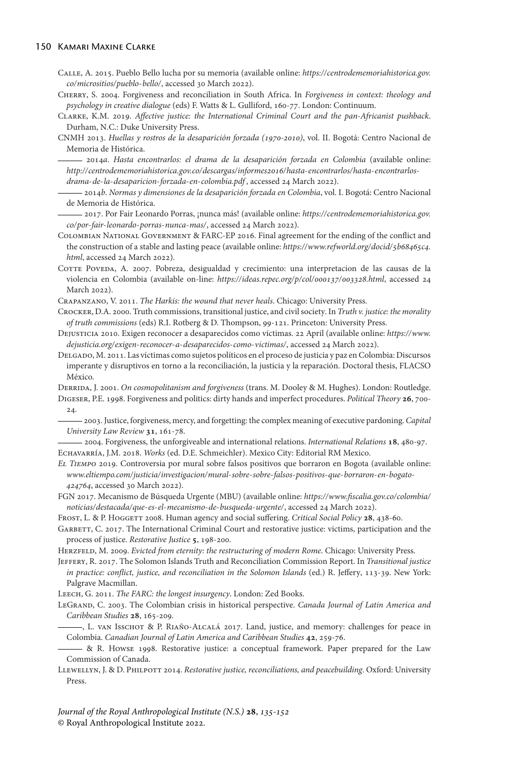#### 150 Kamari Maxine Clarke

Calle, A. 2015. Pueblo Bello lucha por su memoria (available online: *[https://centrodememoriahistorica.gov.](https://centrodememoriahistorica.gov.co/micrositios/pueblo-bello/) [co/micrositios/pueblo-bello/](https://centrodememoriahistorica.gov.co/micrositios/pueblo-bello/)*, accessed 30 March 2022).

Cherry, S. 2004. Forgiveness and reconciliation in South Africa. In *Forgiveness in context: theology and psychology in creative dialogue* (eds) F. Watts & L. Gulliford, 160-77. London: Continuum.

Clarke, K.M. 2019. *Affective justice: the International Criminal Court and the pan-Africanist pushback*. Durham, N.C.: Duke University Press.

CNMH 2013. *Huellas y rostros de la desaparición forzada (-)*, vol. II. Bogotá: Centro Nacional de Memoria de Histórica.

2014*a*. *Hasta encontrarlos: el drama de la desaparición forzada en Colombia* (available online: http://centrodememoriahistorica.gov.co/descargas/informes2016/hasta-encontrarlos/hasta-encontrarlos*[drama-de-la-desaparicion-forzada-en-colombia.pdf](http://centrodememoriahistorica.gov.co/descargas/informes2016/hasta-encontrarlos/hasta-encontrarlos-drama-de-la-desaparicion-forzada-en-colombia.pdf)* , accessed 24 March 2022).

2014*b*. *Normas y dimensiones de la desaparición forzada en Colombia*, vol. I. Bogotá: Centro Nacional de Memoria de Histórica.

2017. Por Fair Leonardo Porras, ¡nunca más! (available online: *[https://centrodememoriahistorica.gov.](https://centrodememoriahistorica.gov.co/por-fair-leonardo-porras-nunca-mas/) [co/por-fair-leonardo-porras-nunca-mas/](https://centrodememoriahistorica.gov.co/por-fair-leonardo-porras-nunca-mas/)*, accessed 24 March 2022).

Colombian National Government & FARC-EP 2016. Final agreement for the ending of the conflict and the construction of a stable and lasting peace (available online: https://www.refworld.org/docid/5b68465c4. *[html](https://www.refworld.org/docid/5b68465c4.html)*, accessed 24 March 2022).

COTTE POVEDA, A. 2007. Pobreza, desigualdad y crecimiento: una interpretacion de las causas de la violencia en Colombia (available on-line: https://ideas.repec.org/p/col/000137/003328.html, accessed 24 March 2022).

Crapanzano, V. 2011. *The Harkis: the wound that never heals*. Chicago: University Press.

Crocker, D.A. 2000. Truth commissions, transitional justice, and civil society. In *Truth v. justice: the morality of truth commissions* (eds) R.I. Rotberg & D. Thompson, 99-121. Princeton: University Press.

Dejusticia 2010. Exigen reconocer a desaparecidos como víctimas. 22 April (available online: *[https://www.](https://www.dejusticia.org/exigen-reconocer-a-desaparecidos-como-victimas/) [dejusticia.org/exigen-reconocer-a-desaparecidos-como-victimas/](https://www.dejusticia.org/exigen-reconocer-a-desaparecidos-como-victimas/)*, accessed 24 March 2022).

Delgado, M. 2011. Las víctimas como sujetos políticos en el proceso de justicia y paz en Colombia: Discursos imperante y disruptivos en torno a la reconciliación, la justicia y la reparación. Doctoral thesis, FLACSO México.

Derrida, J. 2001. *On cosmopolitanism and forgiveness* (trans. M. Dooley & M. Hughes). London: Routledge. DIGESER, P.E. 1998. Forgiveness and politics: dirty hands and imperfect procedures. *Political Theory* 26, 700-24.

2003. Justice, forgiveness, mercy, and forgetting: the complex meaning of executive pardoning. *Capital University Law Review* 31, 161-78.

2004. Forgiveness, the unforgiveable and international relations. *International Relations* , 480-97. Echavarría, J.M. 2018. *Works* (ed. D.E. Schmeichler). Mexico City: Editorial RM Mexico.

*El Tiempo* 2019. Controversia por mural sobre falsos positivos que borraron en Bogota (available online: *[www.eltiempo.com/justicia/investigacion/mural-sobre-sobre-falsos-positivos-que-borraron-en-bogato-](https://www.eltiempo.com/justicia/investigacion/mural-sobre-sobre-falsos-positivos-que-borraron-en-bogato-424764)* 424764, accessed 30 March 2022).

FGN 2017. Mecanismo de Búsqueda Urgente (MBU) (available online: *[https://www.fiscalia.gov.co/colombia/](https://www.fiscalia.gov.co/colombia/noticias/destacada/que-es-el-mecanismo-de-busqueda-urgente/) [noticias/destacada/que-es-el-mecanismo-de-busqueda-urgente/](https://www.fiscalia.gov.co/colombia/noticias/destacada/que-es-el-mecanismo-de-busqueda-urgente/)*, accessed 24 March 2022).

FROST, L. & P. HOGGETT 2008. Human agency and social suffering. *Critical Social Policy* 28, 438-60.

GARBETT, C. 2017. The International Criminal Court and restorative justice: victims, participation and the process of justice. *Restorative Justice* 5, 198-200.

Herzfeld, M. 2009. *Evicted from eternity: the restructuring of modern Rome*. Chicago: University Press.

Jeffery, R. 2017. The Solomon Islands Truth and Reconciliation Commission Report. In *Transitional justice in practice: conflict, justice, and reconciliation in the Solomon Islands* (ed.) R. Jeffery, 113-39. New York: Palgrave Macmillan.

Leech, G. 2011. *The FARC: the longest insurgency*. London: Zed Books.

LeGrand, C. 2003. The Colombian crisis in historical perspective. *Canada Journal of Latin America and Caribbean Studies* **28**, 165-209.

, L. van Isschot & P. Riaño-Alcalá 2017. Land, justice, and memory: challenges for peace in Colombia. *Canadian Journal of Latin America and Caribbean Studies* 42, 259-76.

& R. Howse 1998. Restorative justice: a conceptual framework. Paper prepared for the Law Commission of Canada.

Llewellyn, J. & D. Philpott 2014. *Restorative justice, reconciliations, and peacebuilding*. Oxford: University Press.

*Journal of the Royal Anthropological Institute (N.S.)* **28**, 135-152 © Royal Anthropological Institute 2022.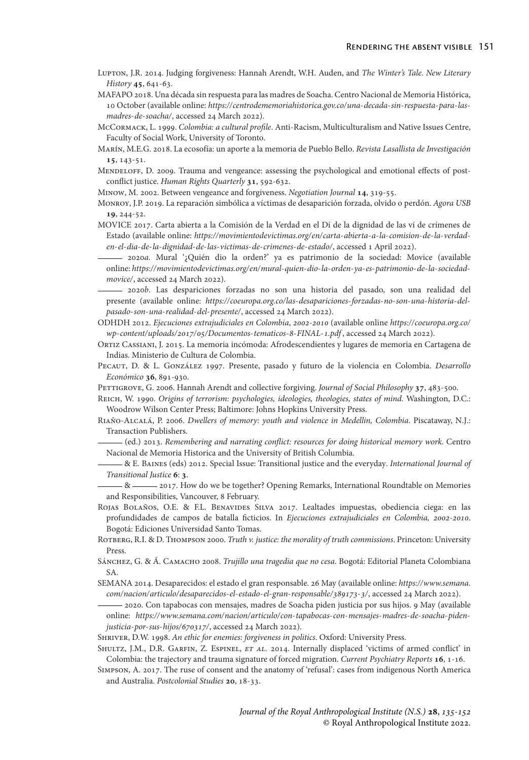- Lupton, J.R. 2014. Judging forgiveness: Hannah Arendt, W.H. Auden, and *The Winter's Tale*. *New Literary History* 45, 641-63.
- MAFAPO 2018. Una década sin respuesta para las madres de Soacha. Centro Nacional de Memoria Histórica, 10 October (available online: *[https://centrodememoriahistorica.gov.co/una-decada-sin-respuesta-para-las](https://centrodememoriahistorica.gov.co/una-decada-sin-respuesta-para-las-madres-de-soacha/)[madres-de-soacha/](https://centrodememoriahistorica.gov.co/una-decada-sin-respuesta-para-las-madres-de-soacha/)*, accessed 24 March 2022).
- McCormack, L. 1999. *Colombia: a cultural profile*. Anti-Racism, Multiculturalism and Native Issues Centre, Faculty of Social Work, University of Toronto.
- Marín, M.E.G. 2018. La ecosofía: un aporte a la memoria de Pueblo Bello. *Revista Lasallista de Investigación* , 143-51.
- MENDELOFF, D. 2009. Trauma and vengeance: assessing the psychological and emotional effects of postconflict justice. *Human Rights Quarterly* 31, 592-632.
- MINOW, M. 2002. Between vengeance and forgiveness. *Negotiation Journal* 14, 319-55.
- Monroy, J.P. 2019. La reparación simbólica a víctimas de desaparición forzada, olvido o perdón. *Agora USB* 19, 244-52.
- MOVICE 2017. Carta abierta a la Comisión de la Verdad en el Dí de la dignidad de las ví de crímenes de Estado (available online: *[https://movimientodevictimas.org/en/carta-abierta-a-la-comision-de-la-verdad](https://movimientodevictimas.org/en/carta-abierta-a-la-comision-de-la-verdad-en-el-dia-de-la-dignidad-de-las-victimas-de-crimenes-de-estado/)[en-el-dia-de-la-dignidad-de-las-victimas-de-crimenes-de-estado/](https://movimientodevictimas.org/en/carta-abierta-a-la-comision-de-la-verdad-en-el-dia-de-la-dignidad-de-las-victimas-de-crimenes-de-estado/)*, accessed 1 April 2022).
- 2020*a*. Mural '¿Quién dio la orden?' ya es patrimonio de la sociedad: Movice (available online: *[https://movimientodevictimas.org/en/mural-quien-dio-la-orden-ya-es-patrimonio-de-la-sociedad](https://movimientodevictimas.org/en/mural-quien-dio-la-orden-ya-es-patrimonio-de-la-sociedad-movice/)[movice/](https://movimientodevictimas.org/en/mural-quien-dio-la-orden-ya-es-patrimonio-de-la-sociedad-movice/)*, accessed 24 March 2022).
- 2020*b*. Las despariciones forzadas no son una historia del pasado, son una realidad del presente (available online: *[https://coeuropa.org.co/las-desapariciones-forzadas-no-son-una-historia-del](https://coeuropa.org.co/las-desapariciones-forzadas-no-son-una-historia-del-pasado-son-una-realidad-del-presente/)[pasado-son-una-realidad-del-presente/](https://coeuropa.org.co/las-desapariciones-forzadas-no-son-una-historia-del-pasado-son-una-realidad-del-presente/)*, accessed 24 March 2022).
- ODHDH 2012. *Ejecuciones extrajudiciales en Colombia*, *-* (available online *[https://coeuropa.org.co/](https://coeuropa.org.co/wp-content/uploads/2017/05/Documentos-tematicos-8-FINAL-1.pdf) wp-content/uploads/2017/05/Documentos-tematicos-8-FINAL-1.pdf*, accessed 24 March 2022).
- Ortiz Cassiani, J. 2015. La memoria incómoda: Afrodescendientes y lugares de memoria en Cartagena de Indias. Ministerio de Cultura de Colombia.
- Pecaut, D. & L. González 1997. Presente, pasado y futuro de la violencia en Colombia. *Desarrollo Económico* 36, 891-930.
- PETTIGROVE, G. 2006. Hannah Arendt and collective forgiving. *Journal of Social Philosophy* 37, 483-500.
- Reich, W. 1990. *Origins of terrorism: psychologies, ideologies, theologies, states of mind*. Washington, D.C.: Woodrow Wilson Center Press; Baltimore: Johns Hopkins University Press.
- Riaño-Alcalá, P. 2006. *Dwellers of memory: youth and violence in Medellin, Colombia*. Piscataway, N.J.: Transaction Publishers.
- (ed.) 2013. *Remembering and narrating conflict: resources for doing historical memory work*. Centro Nacional de Memoria Historica and the University of British Columbia.
- & E. Baines (eds) 2012. Special Issue: Transitional justice and the everyday. *International Journal of* **Transitional Justice 6: 3.**
- $-8$  <sup>2017</sup>. How do we be together? Opening Remarks, International Roundtable on Memories and Responsibilities, Vancouver, 8 February.
- ROJAS BOLAÑOS, O.E. & F.L. BENAVIDES SILVA 2017. Lealtades impuestas, obediencia ciega: en las profundidades de campos de batalla ficticios. In *Ejecuciones extrajudiciales en Colombia*, 2002-2010. Bogotá: Ediciones Universidad Santo Tomas.
- Rotberg, R.I. & D. Thompson 2000. *Truth v. justice: the morality of truth commissions*. Princeton: University Press.
- Sáncнеz, G. & Á. Самасно 2008. *Trujillo una tragedia que no cesa*. Bogotá: Editorial Planeta Colombiana SA.
- SEMANA 2014. Desaparecidos: el estado el gran responsable. 26 May (available online: *[https://www.semana.](https://www.semana.com/nacion/articulo/desaparecidos-el-estado-el-gran-responsable/389173-3/) com/nacion/articulo/desaparecidos-el-estado-el-gran-responsable/389173-3/*, accessed 24 March 2022).
- 2020. Con tapabocas con mensajes, madres de Soacha piden justicia por sus hijos. 9 May (available online: *[https://www.semana.com/nacion/articulo/con-tapabocas-con-mensajes-madres-de-soacha-piden](https://www.semana.com/nacion/articulo/con-tapabocas-con-mensajes-madres-de-soacha-piden-justicia-por-sus-hijos/670317/)*justicia-por-sus-hijos/670317/, accessed 24 March 2022).
- Shriver, D.W. 1998. *An ethic for enemies: forgiveness in politics*. Oxford: University Press.
- Shultz, J.M., D.R. Garfin, Z. Espinel, *et al.* 2014. Internally displaced 'victims of armed conflict' in Colombia: the trajectory and trauma signature of forced migration. *Current Psychiatry Reports* , 1-16.
- Simpson, A. 2017. The ruse of consent and the anatomy of 'refusal': cases from indigenous North America and Australia. *Postcolonial Studies* 20, 18-33.